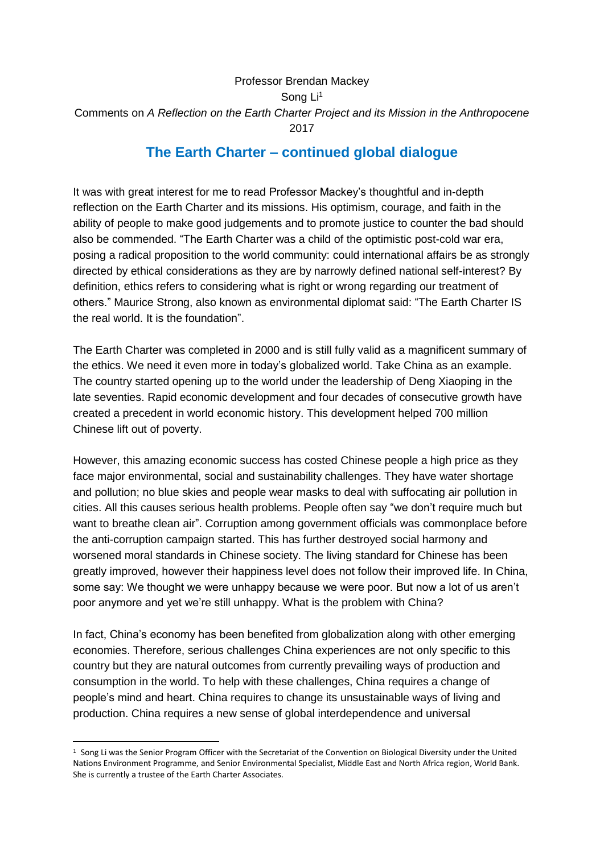## Professor Brendan Mackey Song Li<sup>1</sup> Comments on *A Reflection on the Earth Charter Project and its Mission in the Anthropocene* 2017

## **The Earth Charter – continued global dialogue**

It was with great interest for me to read Professor Mackey's thoughtful and in-depth reflection on the Earth Charter and its missions. His optimism, courage, and faith in the ability of people to make good judgements and to promote justice to counter the bad should also be commended. "The Earth Charter was a child of the optimistic post-cold war era, posing a radical proposition to the world community: could international affairs be as strongly directed by ethical considerations as they are by narrowly defined national self-interest? By definition, ethics refers to considering what is right or wrong regarding our treatment of others." Maurice Strong, also known as environmental diplomat said: "The Earth Charter IS the real world. It is the foundation".

The Earth Charter was completed in 2000 and is still fully valid as a magnificent summary of the ethics. We need it even more in today's globalized world. Take China as an example. The country started opening up to the world under the leadership of Deng Xiaoping in the late seventies. Rapid economic development and four decades of consecutive growth have created a precedent in world economic history. This development helped 700 million Chinese lift out of poverty.

However, this amazing economic success has costed Chinese people a high price as they face major environmental, social and sustainability challenges. They have water shortage and pollution; no blue skies and people wear masks to deal with suffocating air pollution in cities. All this causes serious health problems. People often say "we don't require much but want to breathe clean air". Corruption among government officials was commonplace before the anti-corruption campaign started. This has further destroyed social harmony and worsened moral standards in Chinese society. The living standard for Chinese has been greatly improved, however their happiness level does not follow their improved life. In China, some say: We thought we were unhappy because we were poor. But now a lot of us aren't poor anymore and yet we're still unhappy. What is the problem with China?

In fact, China's economy has been benefited from globalization along with other emerging economies. Therefore, serious challenges China experiences are not only specific to this country but they are natural outcomes from currently prevailing ways of production and consumption in the world. To help with these challenges, China requires a change of people's mind and heart. China requires to change its unsustainable ways of living and production. China requires a new sense of global interdependence and universal

-

<sup>1</sup> Song Li was the Senior Program Officer with the Secretariat of the Convention on Biological Diversity under the United Nations Environment Programme, and Senior Environmental Specialist, Middle East and North Africa region, World Bank. She is currently a trustee of the Earth Charter Associates.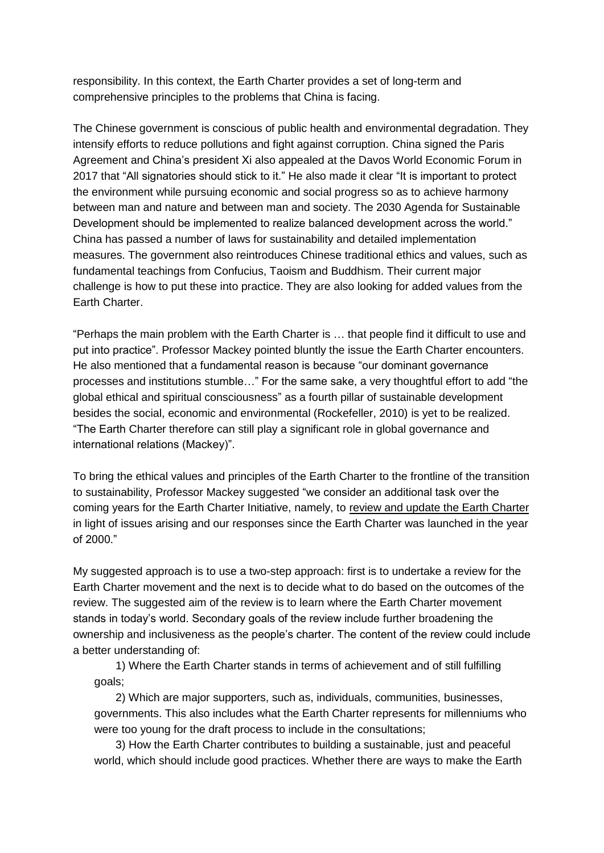responsibility. In this context, the Earth Charter provides a set of long-term and comprehensive principles to the problems that China is facing.

The Chinese government is conscious of public health and environmental degradation. They intensify efforts to reduce pollutions and fight against corruption. China signed the Paris Agreement and China's president Xi also appealed at the Davos World Economic Forum in 2017 that "All signatories should stick to it." He also made it clear "It is important to protect the environment while pursuing economic and social progress so as to achieve harmony between man and nature and between man and society. The 2030 Agenda for Sustainable Development should be implemented to realize balanced development across the world." China has passed a number of laws for sustainability and detailed implementation measures. The government also reintroduces Chinese traditional ethics and values, such as fundamental teachings from Confucius, Taoism and Buddhism. Their current major challenge is how to put these into practice. They are also looking for added values from the Earth Charter.

"Perhaps the main problem with the Earth Charter is … that people find it difficult to use and put into practice". Professor Mackey pointed bluntly the issue the Earth Charter encounters. He also mentioned that a fundamental reason is because "our dominant governance processes and institutions stumble…" For the same sake, a very thoughtful effort to add "the global ethical and spiritual consciousness" as a fourth pillar of sustainable development besides the social, economic and environmental (Rockefeller, 2010) is yet to be realized. "The Earth Charter therefore can still play a significant role in global governance and international relations (Mackey)".

To bring the ethical values and principles of the Earth Charter to the frontline of the transition to sustainability, Professor Mackey suggested "we consider an additional task over the coming years for the Earth Charter Initiative, namely, to review and update the Earth Charter in light of issues arising and our responses since the Earth Charter was launched in the year of 2000."

My suggested approach is to use a two-step approach: first is to undertake a review for the Earth Charter movement and the next is to decide what to do based on the outcomes of the review. The suggested aim of the review is to learn where the Earth Charter movement stands in today's world. Secondary goals of the review include further broadening the ownership and inclusiveness as the people's charter. The content of the review could include a better understanding of:

1) Where the Earth Charter stands in terms of achievement and of still fulfilling goals;

2) Which are major supporters, such as, individuals, communities, businesses, governments. This also includes what the Earth Charter represents for millenniums who were too young for the draft process to include in the consultations;

3) How the Earth Charter contributes to building a sustainable, just and peaceful world, which should include good practices. Whether there are ways to make the Earth